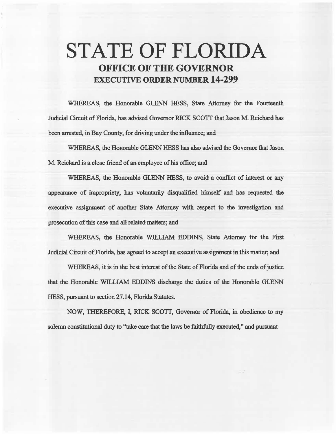## STATE OF FLORIDA OFFICE OF THE GOVERNOR EXECUTIVE ORDER NUMBER 14-299

WHEREAS, the Honorable GLENN HESS, State Attorney for the Fourteenth Judicial Circuit of Florida, has advised Govemor RICK SCOTT that Jason M. Reichard has been arrested, in Bay County, for driving under the influence; and

WHEREAS, the Honorable GLENN HESS has also advised the Governor that Jason. M. Reichard is a dose friend of an employee of his office; and

WHEREAS, the Honorable GLENN HESS, to avoid a conflict of interest or any appearance of impropriety, has voluntarily disqualified himself and has requested the executive assignment of another State Attorney with respect to the investigation and prosecution of this case and all related matters; and

WHEREAS, the Honorable WILLIAM EDDINS, State Attorney for the First Judicial Circuit of Florida, has agreed to accept an executive assignment in this matter; and

WHEREAS, it is in the best interest of the State of Florida and of the ends of justice that the Honorable WILLIAM EDDINS discharge the duties of the Honorable GLENN HESS, pursuant to section 27.14, Florida Statutes.

NOW, THEREFORE, I, RICK SCOTT, Governor of Florida, in obedience to my solemn constitutional duty to "take care that the laws be faithfully executed," and pursuant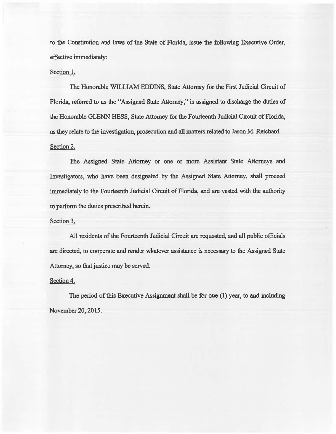to the Constitution and laws of the State of Florida, issue the following Executive Order, effective immediately:

## Section 1.

The Honorable WILLIAM EDDINS, State Attorney for the First Judicial Circuit of Florida, referred to as the "Assigned State Attorney," is assigned to discharge the duties of the Honorable GLENN HESS, State Attorney for the Fourteenth Judicial Circuit of Florida, as they relate to the investigation, prosecution and all matters related to Jason M. Reichard. Section 2.

The Assigned State Attorney or one or more Assistant State Attorneys and Investigators, who have been designated by the Assigned State Attorney, shall proceed immediately to the Fourteenth Judicial Circuit of Florida, and are vested with the authority to perform the duties prescribed herein.

## Section 3.

All residents of the Fourteenth Judicial Circuit are requested, and all public officials are directed, to cooperate and render whatever assistance is necessary to the Assigned State Attorney, so that justice may be served.

## Section 4.

The period of this Executive Assignment shall be for one (1) year, to and including November 20, 2015.